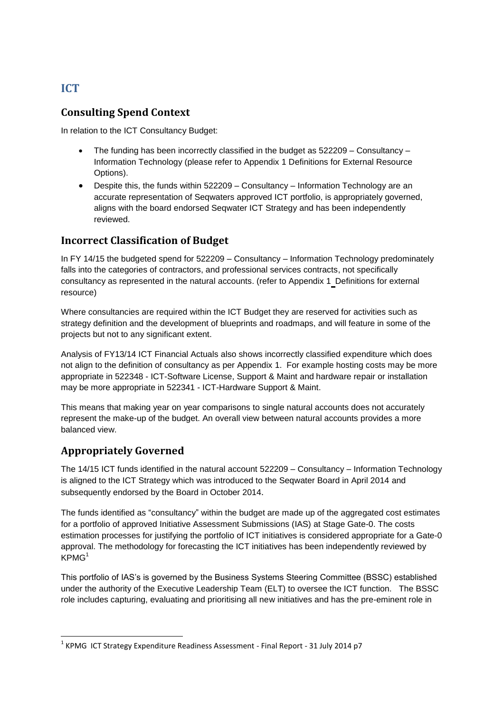# **ICT**

#### **Consulting Spend Context**

In relation to the ICT Consultancy Budget:

- The funding has been incorrectly classified in the budget as 522209 Consultancy Information Technology (please refer to Appendix 1 Definitions for External Resource Options).
- Despite this, the funds within 522209 Consultancy Information Technology are an accurate representation of Seqwaters approved ICT portfolio, is appropriately governed, aligns with the board endorsed Seqwater ICT Strategy and has been independently reviewed.

#### **Incorrect Classification of Budget**

In FY 14/15 the budgeted spend for 522209 – Consultancy – Information Technology predominately falls into the categories of contractors, and professional services contracts, not specifically consultancy as represented in the natural accounts. (refer to Appendix 1 Definitions for external resource)

Where consultancies are required within the ICT Budget they are reserved for activities such as strategy definition and the development of blueprints and roadmaps, and will feature in some of the projects but not to any significant extent.

Analysis of FY13/14 ICT Financial Actuals also shows incorrectly classified expenditure which does not align to the definition of consultancy as per Appendix 1. For example hosting costs may be more appropriate in 522348 - ICT-Software License, Support & Maint and hardware repair or installation may be more appropriate in 522341 - ICT-Hardware Support & Maint.

This means that making year on year comparisons to single natural accounts does not accurately represent the make-up of the budget. An overall view between natural accounts provides a more balanced view.

# **Appropriately Governed**

The 14/15 ICT funds identified in the natural account 522209 – Consultancy – Information Technology is aligned to the ICT Strategy which was introduced to the Seqwater Board in April 2014 and subsequently endorsed by the Board in October 2014.

The funds identified as "consultancy" within the budget are made up of the aggregated cost estimates for a portfolio of approved Initiative Assessment Submissions (IAS) at Stage Gate-0. The costs estimation processes for justifying the portfolio of ICT initiatives is considered appropriate for a Gate-0 approval. The methodology for forecasting the ICT initiatives has been independently reviewed by  $KPMG<sup>1</sup>$ 

This portfolio of IAS's is governed by the Business Systems Steering Committee (BSSC) established under the authority of the Executive Leadership Team (ELT) to oversee the ICT function. The BSSC role includes capturing, evaluating and prioritising all new initiatives and has the pre-eminent role in

**<sup>.</sup>**  $^1$  KPMG ICT Strategy Expenditure Readiness Assessment - Final Report - 31 July 2014 p7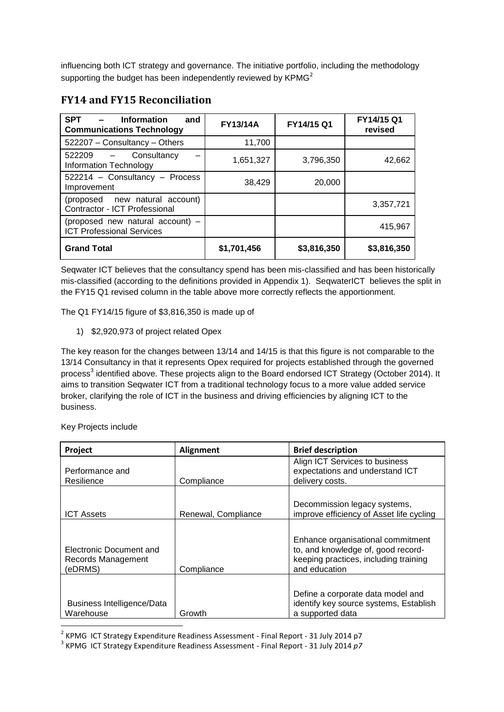influencing both ICT strategy and governance. The initiative portfolio, including the methodology supporting the budget has been independently reviewed by  $KPMG<sup>2</sup>$ 

| <b>SPT</b><br><b>Information</b><br>and<br><b>Communications Technology</b> | <b>FY13/14A</b> | FY14/15 Q1  | FY14/15 Q1<br>revised |
|-----------------------------------------------------------------------------|-----------------|-------------|-----------------------|
| 522207 - Consultancy - Others                                               | 11,700          |             |                       |
| 522209 –<br>Consultancy<br><b>Information Technology</b>                    | 1,651,327       | 3,796,350   | 42,662                |
| 522214 - Consultancy - Process<br>Improvement                               | 38,429          | 20,000      |                       |
| (proposed new natural account)<br>Contractor - ICT Professional             |                 |             | 3,357,721             |
| (proposed new natural account) -<br><b>ICT Professional Services</b>        |                 |             | 415,967               |
| <b>Grand Total</b>                                                          | \$1,701,456     | \$3,816,350 | \$3,816,350           |

#### **FY14 and FY15 Reconciliation**

Seqwater ICT believes that the consultancy spend has been mis-classified and has been historically mis-classified (according to the definitions provided in Appendix 1). SeqwaterICT believes the split in the FY15 Q1 revised column in the table above more correctly reflects the apportionment.

The Q1 FY14/15 figure of \$3,816,350 is made up of

1) \$2,920,973 of project related Opex

The key reason for the changes between 13/14 and 14/15 is that this figure is not comparable to the 13/14 Consultancy in that it represents Opex required for projects established through the governed process<sup>3</sup> identified above. These projects align to the Board endorsed ICT Strategy (October 2014). It aims to transition Seqwater ICT from a traditional technology focus to a more value added service broker, clarifying the role of ICT in the business and driving efficiencies by aligning ICT to the business.

Key Projects include

| <b>Project</b>                                           | <b>Alignment</b>    | <b>Brief description</b>                                                                                                          |
|----------------------------------------------------------|---------------------|-----------------------------------------------------------------------------------------------------------------------------------|
| Performance and<br>Resilience                            | Compliance          | Align ICT Services to business<br>expectations and understand ICT<br>delivery costs.                                              |
| <b>ICT Assets</b>                                        | Renewal, Compliance | Decommission legacy systems,<br>improve efficiency of Asset life cycling                                                          |
| Electronic Document and<br>Records Management<br>(eDRMS) | Compliance          | Enhance organisational commitment<br>to, and knowledge of, good record-<br>keeping practices, including training<br>and education |
| Business Intelligence/Data<br>Warehouse                  | Growth              | Define a corporate data model and<br>identify key source systems, Establish<br>a supported data                                   |

 2 KPMG ICT Strategy Expenditure Readiness Assessment - Final Report - 31 July 2014 p7

<sup>3</sup> KPMG ICT Strategy Expenditure Readiness Assessment - Final Report - 31 July 2014 *p7*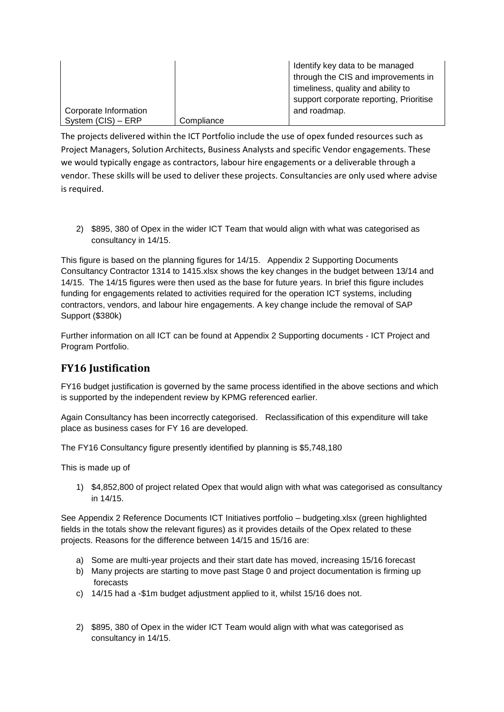|                       |            | Identify key data to be managed<br>through the CIS and improvements in |
|-----------------------|------------|------------------------------------------------------------------------|
|                       |            |                                                                        |
|                       |            | timeliness, quality and ability to                                     |
|                       |            | support corporate reporting, Prioritise                                |
| Corporate Information |            | and roadmap.                                                           |
| System (CIS) - ERP    | Compliance |                                                                        |

The projects delivered within the ICT Portfolio include the use of opex funded resources such as Project Managers, Solution Architects, Business Analysts and specific Vendor engagements. These we would typically engage as contractors, labour hire engagements or a deliverable through a vendor. These skills will be used to deliver these projects. Consultancies are only used where advise is required.

2) \$895, 380 of Opex in the wider ICT Team that would align with what was categorised as consultancy in 14/15.

This figure is based on the planning figures for 14/15. Appendix 2 Supporting Documents Consultancy Contractor 1314 to 1415.xlsx shows the key changes in the budget between 13/14 and 14/15. The 14/15 figures were then used as the base for future years. In brief this figure includes funding for engagements related to activities required for the operation ICT systems, including contractors, vendors, and labour hire engagements. A key change include the removal of SAP Support (\$380k)

Further information on all ICT can be found at Appendix 2 Supporting documents - ICT Project and Program Portfolio.

# **FY16 Justification**

FY16 budget justification is governed by the same process identified in the above sections and which is supported by the independent review by KPMG referenced earlier.

Again Consultancy has been incorrectly categorised. Reclassification of this expenditure will take place as business cases for FY 16 are developed.

The FY16 Consultancy figure presently identified by planning is \$5,748,180

This is made up of

1) \$4,852,800 of project related Opex that would align with what was categorised as consultancy in 14/15.

See Appendix 2 Reference Documents ICT Initiatives portfolio – budgeting.xlsx (green highlighted fields in the totals show the relevant figures) as it provides details of the Opex related to these projects. Reasons for the difference between 14/15 and 15/16 are:

- a) Some are multi-year projects and their start date has moved, increasing 15/16 forecast
- b) Many projects are starting to move past Stage 0 and project documentation is firming up forecasts
- c) 14/15 had a -\$1m budget adjustment applied to it, whilst 15/16 does not.
- 2) \$895, 380 of Opex in the wider ICT Team would align with what was categorised as consultancy in 14/15.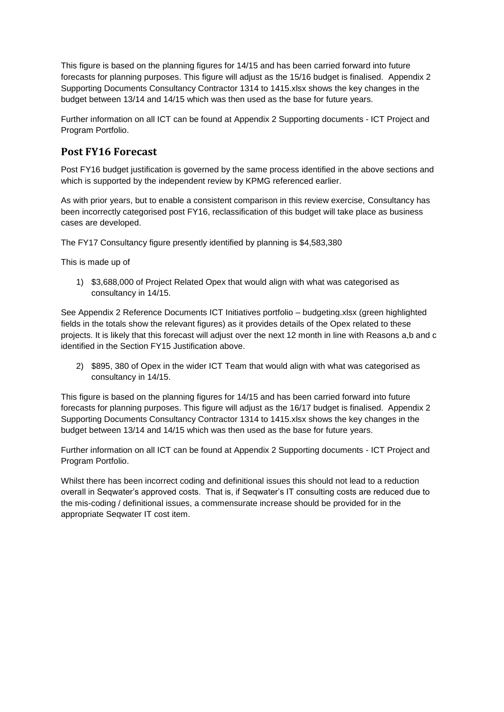This figure is based on the planning figures for 14/15 and has been carried forward into future forecasts for planning purposes. This figure will adjust as the 15/16 budget is finalised. Appendix 2 Supporting Documents Consultancy Contractor 1314 to 1415.xlsx shows the key changes in the budget between 13/14 and 14/15 which was then used as the base for future years.

Further information on all ICT can be found at Appendix 2 Supporting documents - ICT Project and Program Portfolio.

### **Post FY16 Forecast**

Post FY16 budget justification is governed by the same process identified in the above sections and which is supported by the independent review by KPMG referenced earlier.

As with prior years, but to enable a consistent comparison in this review exercise, Consultancy has been incorrectly categorised post FY16, reclassification of this budget will take place as business cases are developed.

The FY17 Consultancy figure presently identified by planning is \$4,583,380

This is made up of

1) \$3,688,000 of Project Related Opex that would align with what was categorised as consultancy in 14/15.

See Appendix 2 Reference Documents ICT Initiatives portfolio – budgeting.xlsx (green highlighted fields in the totals show the relevant figures) as it provides details of the Opex related to these projects. It is likely that this forecast will adjust over the next 12 month in line with Reasons a,b and c identified in the Section FY15 Justification above.

2) \$895, 380 of Opex in the wider ICT Team that would align with what was categorised as consultancy in 14/15.

This figure is based on the planning figures for 14/15 and has been carried forward into future forecasts for planning purposes. This figure will adjust as the 16/17 budget is finalised. Appendix 2 Supporting Documents Consultancy Contractor 1314 to 1415.xlsx shows the key changes in the budget between 13/14 and 14/15 which was then used as the base for future years.

Further information on all ICT can be found at Appendix 2 Supporting documents - ICT Project and Program Portfolio.

Whilst there has been incorrect coding and definitional issues this should not lead to a reduction overall in Seqwater's approved costs. That is, if Seqwater's IT consulting costs are reduced due to the mis-coding / definitional issues, a commensurate increase should be provided for in the appropriate Seqwater IT cost item.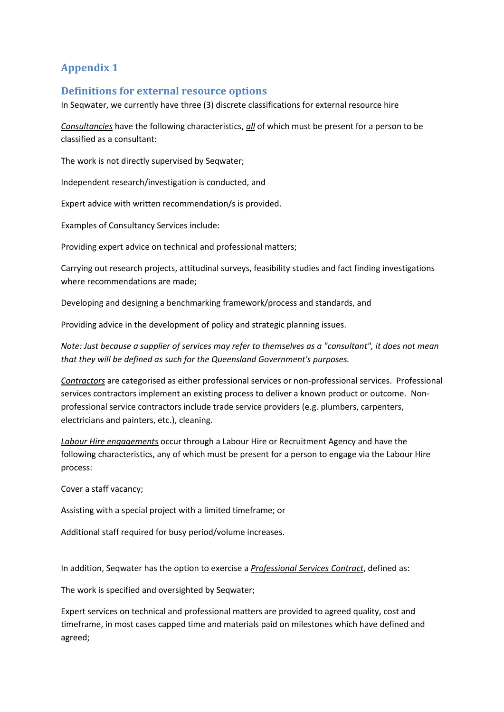# **Appendix 1**

#### **Definitions for external resource options**

In Seqwater, we currently have three (3) discrete classifications for external resource hire

*Consultancies* have the following characteristics, *all* of which must be present for a person to be classified as a consultant:

The work is not directly supervised by Seqwater;

Independent research/investigation is conducted, and

Expert advice with written recommendation/s is provided.

Examples of Consultancy Services include:

Providing expert advice on technical and professional matters;

Carrying out research projects, attitudinal surveys, feasibility studies and fact finding investigations where recommendations are made;

Developing and designing a benchmarking framework/process and standards, and

Providing advice in the development of policy and strategic planning issues.

*Note: Just because a supplier of services may refer to themselves as a "consultant", it does not mean that they will be defined as such for the Queensland Government's purposes.*

*Contractors* are categorised as either professional services or non-professional services. Professional services contractors implement an existing process to deliver a known product or outcome. Nonprofessional service contractors include trade service providers (e.g. plumbers, carpenters, electricians and painters, etc.), cleaning.

*Labour Hire engagements* occur through a Labour Hire or Recruitment Agency and have the following characteristics, any of which must be present for a person to engage via the Labour Hire process:

Cover a staff vacancy;

Assisting with a special project with a limited timeframe; or

Additional staff required for busy period/volume increases.

In addition, Seqwater has the option to exercise a *Professional Services Contract*, defined as:

The work is specified and oversighted by Seqwater;

Expert services on technical and professional matters are provided to agreed quality, cost and timeframe, in most cases capped time and materials paid on milestones which have defined and agreed;